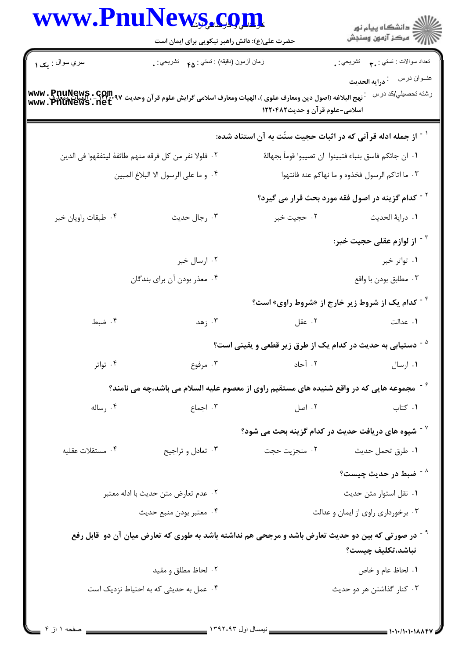|                                    | www.PnuNews.com<br>حضرت علی(ع): دانش راهبر نیکویی برای ایمان است                                               |                                                                           | ڪ دانشڪاه پيام نور<br>//> مرڪز آزمون وسنڊش                     |
|------------------------------------|----------------------------------------------------------------------------------------------------------------|---------------------------------------------------------------------------|----------------------------------------------------------------|
| سري سوال : يک ۱                    | زمان أزمون (دقيقه) : تستي : <sub>۴۵</sub> تشريحي : .                                                           |                                                                           | تعداد سوالات : تستبي : ٣ <b>.</b> تشريحي : .                   |
| www.PnuNews.com<br>www.PhuNews.net | نهج البلاغه (اصول دين ومعارف علوى )، الهيات ومعارف اسلامى گرايش علوم قر آن وحديث ٩٧                            | اسلامی-علوم قرآن و حدیث۱۲۲۰۴۸۲                                            | عنــوان درس<br><sup>:</sup> درايه الحديث<br>رشته تحصيلي/كد درس |
|                                    |                                                                                                                | <sup>۱ -</sup> از جمله ادله قرآنی که در اثبات حجیت سنّت به آن استناد شده: |                                                                |
|                                    | ٢٠ فلولا نفر من كل فرقه منهم طائفهٔ ليتفقهوا في الدين                                                          |                                                                           | ٠١ ان جائكم فاسق بنباء فتبينوا ان تصيبوا قوماً بجهالهٔ         |
|                                    | ۰۴ و ما على الرسول الا البلاغ المبين                                                                           | ۰۳ ما اتاکم الرسول فخذوه و ما نهاکم عنه فانتهوا                           |                                                                |
|                                    |                                                                                                                |                                                                           | <sup>۲ -</sup> کدام گزینه در اصول فقه مورد بحث قرار می گیرد؟   |
| ۰۴ طبقات راويان خبر                | ۰۳ رجال حديث                                                                                                   | ۰۲ حجيت خبر                                                               | ٠١ دراية الحديث                                                |
|                                    |                                                                                                                |                                                                           | <sup>۳ -</sup> از لوازم عقلی حجیت خبر:                         |
|                                    | ۰۲ ارسال خبر                                                                                                   |                                                                           | ۰۱ تواتر خبر                                                   |
|                                    | ۰۴ معذر بودن أن براي بندگان                                                                                    |                                                                           | ۰۳ مطابق بودن با واقع                                          |
|                                    |                                                                                                                |                                                                           | <sup>۰۴</sup> کدام یک از شروط زیر خارج از «شروط راوی» است؟     |
| ۰۴ ضبط                             | ۰۳ زهد                                                                                                         | ۰۲ عقل                                                                    | ١. عدالت                                                       |
|                                    |                                                                                                                | <sup>ه -</sup> دستیابی به حدیث در کدام یک از طرق زیر قطعی و یقینی است؟    |                                                                |
| ۰۴ تواتر                           | ۰۳ مرفوع                                                                                                       | ۰۲ آحاد                                                                   | ۰۱ ارسال                                                       |
|                                    | گت مجموعه هایی که در واقع شنیده های مستقیم راوی از معصوم علیه السلام می باشد،چه می نامند؟                      |                                                                           |                                                                |
| ۰۴ رساله                           | ۰۳ اجماع                                                                                                       | ۰۲ اصل                                                                    | ٠١ كتاب                                                        |
|                                    |                                                                                                                | $^{\circ}$ شیوه های دریافت حدیث در کدام گزینه بحث می شود "                |                                                                |
| ۰۴ مستقلات عقليه                   | ۰۳ تعادل و تراجيح                                                                                              | ۰۲ منجزيت حجت                                                             | ۰۱ طرق تحمل حديث                                               |
|                                    |                                                                                                                |                                                                           | خسط در حديث چيست؟ $^{\wedge}$                                  |
|                                    | ٠٢ عدم تعارض متن حديث با ادله معتبر                                                                            | ٠١ نقل استوار متن حديث                                                    |                                                                |
|                                    | ۰۴ معتبر بودن منبع حديث                                                                                        | ۰۳ برخورداری راوی از ایمان و عدالت                                        |                                                                |
|                                    | <sup>۹ -</sup> در صورتی که بین دو حدیث تعارض باشد و مرجحی هم نداشته باشد به طوری که تعارض میان آن دو  قابل رفع |                                                                           | نباشد،تكليف چيست؟                                              |
|                                    | ۰۲ لحاظ مطلق و مقید                                                                                            |                                                                           | ٠١. لحاظ عام و خاص                                             |
|                                    | ۰۴ عمل به حدیثی که به احتیاط نزدیک است                                                                         |                                                                           | ۰۳ کنار گذاشتن هر دو حدیث                                      |
|                                    |                                                                                                                |                                                                           |                                                                |
|                                    |                                                                                                                |                                                                           |                                                                |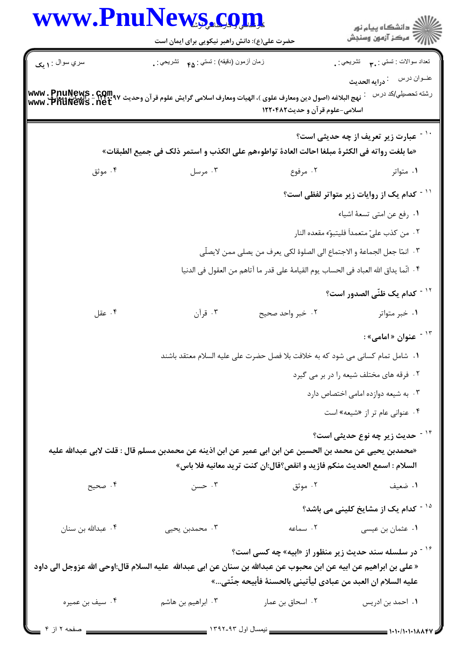|                    | حضرت علی(ع): دانش راهبر نیکویی برای ایمان است                                                                                     |                                                                                       | ِ<br>∭ دانشڪاه پيام نور<br>∭ مرڪز آزمون وسنڊش                               |  |
|--------------------|-----------------------------------------------------------------------------------------------------------------------------------|---------------------------------------------------------------------------------------|-----------------------------------------------------------------------------|--|
|                    |                                                                                                                                   |                                                                                       |                                                                             |  |
| سري سوال : ۱ يک    | زمان أزمون (دقيقه) : تستى : ۴۵ — تشريحي : .                                                                                       |                                                                                       | تعداد سوالات : تستي : ٣ <sub>٠</sub> ٠ تشريحي : <sub>٠</sub><br>عنــوان درس |  |
|                    | نهج البلاغه (اصول دين ومعارف علوى )، الهيات ومعارف اسلامى گرايش علوم قر آن وحديث ۱۳۰۰٬۹۷ - ، الهيات ومعارف<br>WWW . PNUNews . net |                                                                                       | <sup>:</sup> درايه الحديث<br>رشته تحصيلي/كد درس                             |  |
|                    |                                                                                                                                   | اسلامی-علوم قرآن و حدیث۱۲۲۰۴۸۲                                                        |                                                                             |  |
|                    |                                                                                                                                   |                                                                                       |                                                                             |  |
|                    | «ما بلغت رواته في الكثرة مبلغا احالت العادة تواطوءهم على الكذب و استمر ذلك في جميع الطبقات»                                       |                                                                                       | `` - عبارت زیر تعریف از چه حدیثی است؟                                       |  |
|                    |                                                                                                                                   |                                                                                       |                                                                             |  |
| ۰۴ موثق            | ۰۳ مرسل                                                                                                                           | ۰۲ مرفوع                                                                              | ۰۱ متواتر                                                                   |  |
|                    |                                                                                                                                   |                                                                                       | <sup>۱۱ -</sup> کدام یک از روایات زیر متواتر لفظی است؟                      |  |
|                    |                                                                                                                                   |                                                                                       | ٠١ رفع عن امتى تسعهٔ اشياء                                                  |  |
|                    |                                                                                                                                   |                                                                                       | ٠٢ من كذب علىّ متعمداً فليتبوّ مقعده النار                                  |  |
|                    |                                                                                                                                   | ٣.  انمّا جعل الجماعة و الاجتماع الى الصلوة لكى يعرف من يصلى ممن لايصلّى              |                                                                             |  |
|                    |                                                                                                                                   | ٠۴ انّما يداق الله العباد في الحساب يوم القيامهٔ على قدر ما آتاهم من العقول في الدنيا |                                                                             |  |
|                    |                                                                                                                                   |                                                                                       | <sup>۱۲ -</sup> كدام يك ظنّى الصدور است؟                                    |  |
| ۰۴ عقل             | ۰۳ قرآن                                                                                                                           | ۰۲ خبر واحد صحیح                                                                      | ۰۱ خبر متواتر                                                               |  |
|                    |                                                                                                                                   |                                                                                       | <sup>۱۳ -</sup> عنوان «امامی»:                                              |  |
|                    |                                                                                                                                   |                                                                                       |                                                                             |  |
|                    |                                                                                                                                   | ٠١. شامل تمام كساني مي شود كه به خلافت بلا فصل حضرت على عليه السلام معتقد باشند       |                                                                             |  |
|                    |                                                                                                                                   |                                                                                       | ۰۲ فرقه های مختلف شیعه را در بر می گیرد                                     |  |
|                    |                                                                                                                                   |                                                                                       | ۰۳ به شیعه دوازده امامی اختصاص دارد                                         |  |
|                    |                                                                                                                                   |                                                                                       | ۰۴ عنوانی عام تر از «شیعه» است                                              |  |
|                    |                                                                                                                                   |                                                                                       | <sup>۱۴ -</sup> حدیث زیر چه نوع حدیثی است؟                                  |  |
|                    | «محمدبن يحيى عن محمد بن الحسين عن ابن ابي عمير عن ابن اذينه عن محمدبن مسلم قال : قلت لابي عبدالله عليه                            |                                                                                       |                                                                             |  |
|                    |                                                                                                                                   | السلام : اسمع الحديث منكم فازيد و انقص؟قال:ان كنت تريد معانيه فلا باس»                |                                                                             |  |
| ۰۴ صحيح            | ۰۳ حسن                                                                                                                            | ۰۲ موثق                                                                               | ۰۱ ضعیف                                                                     |  |
|                    |                                                                                                                                   |                                                                                       | <sup>۱۵ -</sup> کدام یک از مشایخ کلینی می باشد؟                             |  |
| ۰۴ عبدالله بن سنان | ۰۳ محمدبن يحيى                                                                                                                    | ۰۲ سماعه                                                                              | ۰۱ عثمان بن عیسی                                                            |  |
|                    |                                                                                                                                   | <sup>۱۶ -</sup> در سلسله سند حدیث زیر منظور از «ابیه» چه کسی است؟                     |                                                                             |  |
|                    | « على بن ابراهيم عن ابيه عن ابن محبوب عن عبدالله بن سنان عن ابي عبدالله  عليه السلام قال:اوحي الله عزوجل الي داود                 |                                                                                       |                                                                             |  |
|                    |                                                                                                                                   | عليه السلام ان العبد من عبادى ليأتيني بالحسنة فأبيحه جنّتي»                           |                                                                             |  |
| ۰۴ سيف بن عميره    | ۰۳ ابراهیم بن هاشم                                                                                                                | ۰۲ اسحاق بن عمار                                                                      | ۰۱ احمد بن ادریس                                                            |  |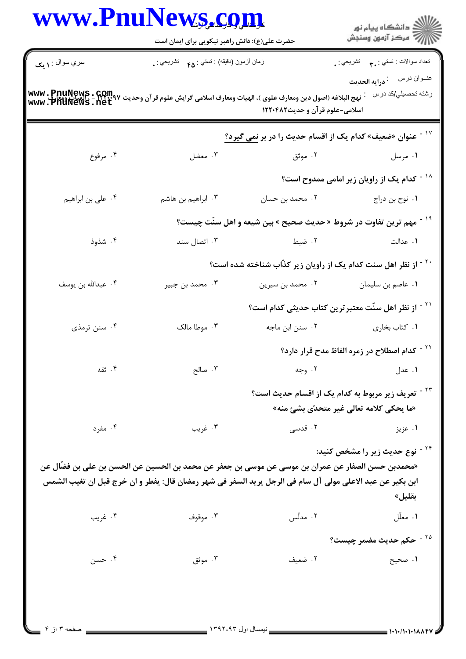|                                                                                                                                                                                        | حضرت علی(ع): دانش راهبر نیکویی برای ایمان است                                                                                                                                                                  |                                                                               | ر<br>اگر دانشگاه پيام نور<br>اگر مرکز آزمون وسنجش                                                         |  |  |
|----------------------------------------------------------------------------------------------------------------------------------------------------------------------------------------|----------------------------------------------------------------------------------------------------------------------------------------------------------------------------------------------------------------|-------------------------------------------------------------------------------|-----------------------------------------------------------------------------------------------------------|--|--|
| سري سوال : <b>۱ يک</b>                                                                                                                                                                 | زمان أزمون (دقيقه) : تستي : ۴۵ — تشريحي : .                                                                                                                                                                    |                                                                               | تعداد سوالات : تستي : ٣ <b>. س</b> تشريحي : .                                                             |  |  |
| رشته تحصيلي/كد درس<br>نهج البلاغه (اصول دين ومعارف علوى )، الهيات ومعارف اسلامى گرايش علوم قرآن وحديث ۱۳۲۰٬۹۷–، الهيات ومعارف<br>WWW . PNUNews . net<br>اسلامی-علوم قرآن و حدیث١٢٢٠٤٨٢ |                                                                                                                                                                                                                |                                                                               |                                                                                                           |  |  |
|                                                                                                                                                                                        |                                                                                                                                                                                                                | عنوان «ضعیف» کدام یک از اقسام حدیث را در بر نمی گیرد؟                         |                                                                                                           |  |  |
| ۰۴ مرفوع                                                                                                                                                                               | ۰۳ معضل                                                                                                                                                                                                        | ۰۲ موثق                                                                       | ۰۱ مرسل                                                                                                   |  |  |
|                                                                                                                                                                                        |                                                                                                                                                                                                                |                                                                               | <sup>۱۸ -</sup> کدام یک از راویان زیر امامی ممدوح است؟                                                    |  |  |
| ۰۴ على بن ابراهيم                                                                                                                                                                      | ۰۳ ابراهیم بن هاشم                                                                                                                                                                                             | ۰۲ محمد بن حسان                                                               | ۰۱ نوح بن دراج                                                                                            |  |  |
|                                                                                                                                                                                        |                                                                                                                                                                                                                | <sup>۱۹ -</sup> مهم ترین تفاوت در شروط «حدیث صحیح » بین شیعه و اهل سنّت چیست؟ |                                                                                                           |  |  |
| ۰۴ شذوذ                                                                                                                                                                                | ۰۳ اتصال سند                                                                                                                                                                                                   | ۰۲ ضبط                                                                        | ۰۱ عدالت                                                                                                  |  |  |
|                                                                                                                                                                                        |                                                                                                                                                                                                                | <sup>۲۰ -</sup> از نظر اهل سنت کدام یک از راویان زیر کذّاب شناخته شده است؟    |                                                                                                           |  |  |
| ۰۴ عبدالله بن يوسف                                                                                                                                                                     | ۰۳ محمد بن جبير                                                                                                                                                                                                | ۰۲ محمد بن سیرین                                                              | ۰۱ عاصم بن سليمان                                                                                         |  |  |
|                                                                                                                                                                                        | <sup>۲۱ -</sup> از نظر اهل سنّت معتبر ترین کتاب حدیثی کدام است؟                                                                                                                                                |                                                                               |                                                                                                           |  |  |
| ۰۴ سنن ترمذی                                                                                                                                                                           | ۰۳ موطا مالک                                                                                                                                                                                                   | ۰۲ سنن ابن ماجه                                                               | ۰۱ كتاب بخاري                                                                                             |  |  |
|                                                                                                                                                                                        |                                                                                                                                                                                                                |                                                                               | <sup>۲۲ -</sup> کدام اصطلاح در زمره الفاظ مدح قرار دارد؟                                                  |  |  |
| ۰۴ ثقه                                                                                                                                                                                 | ۰۳ صالح                                                                                                                                                                                                        | ۲. وجه                                                                        | ۰۱ عدل                                                                                                    |  |  |
|                                                                                                                                                                                        |                                                                                                                                                                                                                |                                                                               | <sup>۲۳ -</sup> تعریف زیر مربوط به کدام یک از اقسام حدیث است؟<br>«ما يحكى كلامه تعالى غير متحدّى بشئ منه» |  |  |
| ۰۴ مفرد                                                                                                                                                                                | ۰۳ غريب                                                                                                                                                                                                        | ۰۲ قدسی                                                                       | ۰۱ عزیز                                                                                                   |  |  |
|                                                                                                                                                                                        | «محمدبن حسن الصفار عن عمران بن موسى عن موسى بن جعفر عن محمد بن الحسين عن الحسن بن على بن فضَّال عن<br>ابن بكير عن عبد الاعلى مولى آل سام في الرجل يريد السفر في شهر رمضان قال: يفطر و ان خرج قبل ان تغيب الشمس |                                                                               | <sup>۲۴ -</sup> نوع حدیث زیر را مشخص کنید:<br>بقليل»                                                      |  |  |
| ۰۴ غريب                                                                                                                                                                                | ۰۳ موقوف                                                                                                                                                                                                       | ۰۲ مدلّس                                                                      | ۰۱ معلّل                                                                                                  |  |  |
|                                                                                                                                                                                        |                                                                                                                                                                                                                |                                                                               | <sup>۲۵ -</sup> حکم حدیث مضمر چیست؟                                                                       |  |  |
| ۰۴ حسن                                                                                                                                                                                 | ۰۳ موثق                                                                                                                                                                                                        | ۰۲ ضعیف                                                                       | ١. صحيح                                                                                                   |  |  |

Ĭ.